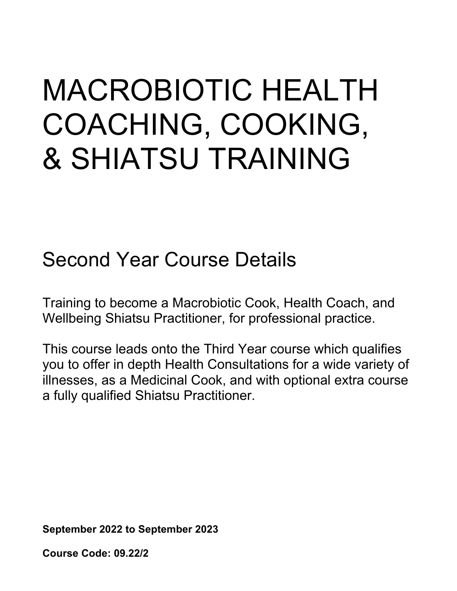# MACROBIOTIC HEALTH COACHING, COOKING, & SHIATSU TRAINING

# Second Year Course Details

Training to become a Macrobiotic Cook, Health Coach, and Wellbeing Shiatsu Practitioner, for professional practice.

This course leads onto the Third Year course which qualifies you to offer in depth Health Consultations for a wide variety of illnesses, as a Medicinal Cook, and with optional extra course a fully qualified Shiatsu Practitioner.

**September 2022 to September 2023**

**Course Code: 09.22/2**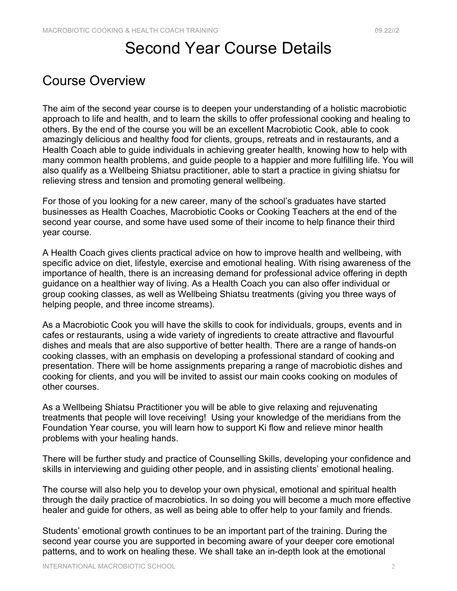## Second Year Course Details

### Course Overview

The aim of the second year course is to deepen your understanding of a holistic macrobiotic approach to life and health, and to learn the skills to offer professional cooking and healing to others. By the end of the course you will be an excellent Macrobiotic Cook, able to cook amazingly delicious and healthy food for clients, groups, retreats and in restaurants, and a Health Coach able to guide individuals in achieving greater health, knowing how to help with many common health problems, and guide people to a happier and more fulfilling life. You will also qualify as a Wellbeing Shiatsu practitioner, able to start a practice in giving shiatsu for relieving stress and tension and promoting general wellbeing.

For those of you looking for a new career, many of the school's graduates have started businesses as Health Coaches, Macrobiotic Cooks or Cooking Teachers at the end of the second year course, and some have used some of their income to help finance their third year course.

A Health Coach gives clients practical advice on how to improve health and wellbeing, with specific advice on diet, lifestyle, exercise and emotional healing. With rising awareness of the importance of health, there is an increasing demand for professional advice offering in depth guidance on a healthier way of living. As a Health Coach you can also offer individual or group cooking classes, as well as Wellbeing Shiatsu treatments (giving you three ways of helping people, and three income streams).

As a Macrobiotic Cook you will have the skills to cook for individuals, groups, events and in cafes or restaurants, using a wide variety of ingredients to create attractive and flavourful dishes and meals that are also supportive of better health. There are a range of hands-on cooking classes, with an emphasis on developing a professional standard of cooking and presentation. There will be home assignments preparing a range of macrobiotic dishes and cooking for clients, and you will be invited to assist our main cooks cooking on modules of other courses.

As a Wellbeing Shiatsu Practitioner you will be able to give relaxing and rejuvenating treatments that people will love receiving! Using your knowledge of the meridians from the Foundation Year course, you will learn how to support Ki flow and relieve minor health problems with your healing hands.

There will be further study and practice of Counselling Skills, developing your confidence and skills in interviewing and guiding other people, and in assisting clients' emotional healing.

The course will also help you to develop your own physical, emotional and spiritual health through the daily practice of macrobiotics. In so doing you will become a much more effective healer and guide for others, as well as being able to offer help to your family and friends.

Students' emotional growth continues to be an important part of the training. During the second year course you are supported in becoming aware of your deeper core emotional patterns, and to work on healing these. We shall take an in-depth look at the emotional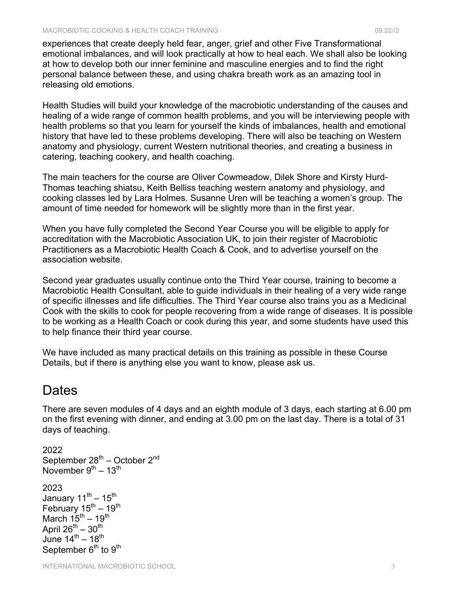experiences that create deeply held fear, anger, grief and other Five Transformational emotional imbalances, and will look practically at how to heal each. We shall also be looking at how to develop both our inner feminine and masculine energies and to find the right personal balance between these, and using chakra breath work as an amazing tool in releasing old emotions.

Health Studies will build your knowledge of the macrobiotic understanding of the causes and healing of a wide range of common health problems, and you will be interviewing people with health problems so that you learn for yourself the kinds of imbalances, health and emotional history that have led to these problems developing. There will also be teaching on Western anatomy and physiology, current Western nutritional theories, and creating a business in catering, teaching cookery, and health coaching.

The main teachers for the course are Oliver Cowmeadow, Dilek Shore and Kirsty Hurd-Thomas teaching shiatsu, Keith Belliss teaching western anatomy and physiology, and cooking classes led by Lara Holmes. Susanne Uren will be teaching a women's group. The amount of time needed for homework will be slightly more than in the first year.

When you have fully completed the Second Year Course you will be eligible to apply for accreditation with the Macrobiotic Association UK, to join their register of Macrobiotic Practitioners as a Macrobiotic Health Coach & Cook, and to advertise yourself on the association website.

Second year graduates usually continue onto the Third Year course, training to become a Macrobiotic Health Consultant, able to guide individuals in their healing of a very wide range of specific illnesses and life difficulties. The Third Year course also trains you as a Medicinal Cook with the skills to cook for people recovering from a wide range of diseases. It is possible to be working as a Health Coach or cook during this year, and some students have used this to help finance their third year course.

We have included as many practical details on this training as possible in these Course Details, but if there is anything else you want to know, please ask us.

### Dates

There are seven modules of 4 days and an eighth module of 3 days, each starting at 6.00 pm on the first evening with dinner, and ending at 3.00 pm on the last day. There is a total of 31 days of teaching.

```
2022
September 28^{th} – October 2^{nd}November 9^{th} – 13<sup>th</sup>
2023
January 11<sup>th</sup> – 15<sup>th</sup>
February 15^{th} - 19^{th}March 15^{th} – 19<sup>th</sup>
April 26^{\text{th}} – 30^{\text{th}}June 14^{th} - 18^{th}September 6<sup>th</sup> to 9<sup>th</sup>
```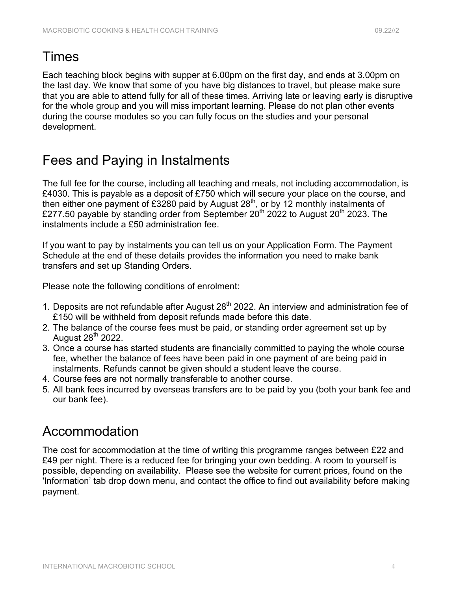### Times

Each teaching block begins with supper at 6.00pm on the first day, and ends at 3.00pm on the last day. We know that some of you have big distances to travel, but please make sure that you are able to attend fully for all of these times. Arriving late or leaving early is disruptive for the whole group and you will miss important learning. Please do not plan other events during the course modules so you can fully focus on the studies and your personal development.

### Fees and Paying in Instalments

The full fee for the course, including all teaching and meals, not including accommodation, is £4030. This is payable as a deposit of £750 which will secure your place on the course, and then either one payment of £3280 paid by August 28<sup>th</sup>, or by 12 monthly instalments of £277.50 payable by standing order from September  $20<sup>th</sup>$  2022 to August  $20<sup>th</sup>$  2023. The instalments include a £50 administration fee.

If you want to pay by instalments you can tell us on your Application Form. The Payment Schedule at the end of these details provides the information you need to make bank transfers and set up Standing Orders.

Please note the following conditions of enrolment:

- 1. Deposits are not refundable after August  $28<sup>th</sup>$  2022. An interview and administration fee of £150 will be withheld from deposit refunds made before this date.
- 2. The balance of the course fees must be paid, or standing order agreement set up by August  $28^{th}$  2022.
- 3. Once a course has started students are financially committed to paying the whole course fee, whether the balance of fees have been paid in one payment of are being paid in instalments. Refunds cannot be given should a student leave the course.
- 4. Course fees are not normally transferable to another course.
- 5. All bank fees incurred by overseas transfers are to be paid by you (both your bank fee and our bank fee).

### Accommodation

The cost for accommodation at the time of writing this programme ranges between £22 and £49 per night. There is a reduced fee for bringing your own bedding. A room to yourself is possible, depending on availability. Please see the website for current prices, found on the 'Information' tab drop down menu, and contact the office to find out availability before making payment.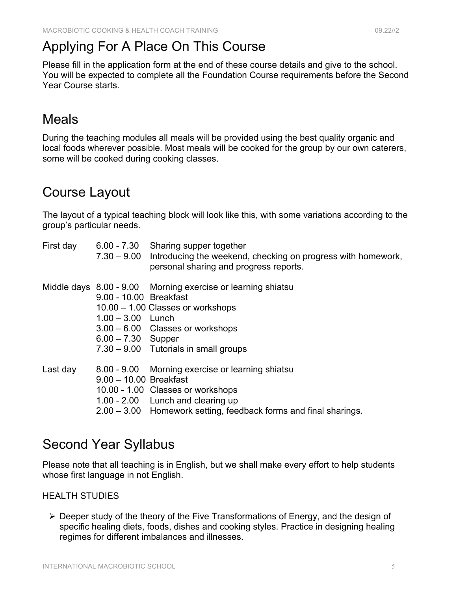### Applying For A Place On This Course

Please fill in the application form at the end of these course details and give to the school. You will be expected to complete all the Foundation Course requirements before the Second Year Course starts.

### Meals

During the teaching modules all meals will be provided using the best quality organic and local foods wherever possible. Most meals will be cooked for the group by our own caterers, some will be cooked during cooking classes.

### Course Layout

The layout of a typical teaching block will look like this, with some variations according to the group's particular needs.

| First day |                                                                       | 6.00 - 7.30 Sharing supper together<br>7.30 – 9.00 Introducing the weekend, checking on progress with homework,<br>personal sharing and progress reports.                                      |
|-----------|-----------------------------------------------------------------------|------------------------------------------------------------------------------------------------------------------------------------------------------------------------------------------------|
|           | 9.00 - 10.00 Breakfast<br>$1.00 - 3.00$ Lunch<br>$6.00 - 7.30$ Supper | Middle days 8.00 - 9.00 Morning exercise or learning shiatsu<br>10.00 - 1.00 Classes or workshops<br>$3.00 - 6.00$ Classes or workshops<br>7.30 - 9.00 Tutorials in small groups               |
| Last day  | $9.00 - 10.00$ Breakfast                                              | 8.00 - 9.00 Morning exercise or learning shiatsu<br>10.00 - 1.00 Classes or workshops<br>1.00 - 2.00 Lunch and clearing up<br>2.00 - 3.00 Homework setting, feedback forms and final sharings. |

### Second Year Syllabus

Please note that all teaching is in English, but we shall make every effort to help students whose first language in not English.

### HEALTH STUDIES

 $\triangleright$  Deeper study of the theory of the Five Transformations of Energy, and the design of specific healing diets, foods, dishes and cooking styles. Practice in designing healing regimes for different imbalances and illnesses.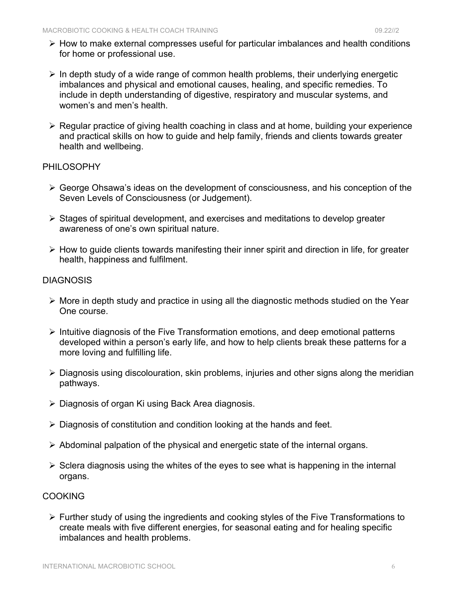- $\triangleright$  How to make external compresses useful for particular imbalances and health conditions for home or professional use.
- $\triangleright$  In depth study of a wide range of common health problems, their underlying energetic imbalances and physical and emotional causes, healing, and specific remedies. To include in depth understanding of digestive, respiratory and muscular systems, and women's and men's health.
- $\triangleright$  Regular practice of giving health coaching in class and at home, building your experience and practical skills on how to guide and help family, friends and clients towards greater health and wellbeing.

#### PHILOSOPHY

- $\triangleright$  George Ohsawa's ideas on the development of consciousness, and his conception of the Seven Levels of Consciousness (or Judgement).
- $\triangleright$  Stages of spiritual development, and exercises and meditations to develop greater awareness of one's own spiritual nature.
- $\triangleright$  How to guide clients towards manifesting their inner spirit and direction in life, for greater health, happiness and fulfilment.

#### **DIAGNOSIS**

- $\triangleright$  More in depth study and practice in using all the diagnostic methods studied on the Year One course.
- $\triangleright$  Intuitive diagnosis of the Five Transformation emotions, and deep emotional patterns developed within a person's early life, and how to help clients break these patterns for a more loving and fulfilling life.
- $\triangleright$  Diagnosis using discolouration, skin problems, injuries and other signs along the meridian pathways.
- $\triangleright$  Diagnosis of organ Ki using Back Area diagnosis.
- $\triangleright$  Diagnosis of constitution and condition looking at the hands and feet.
- $\triangleright$  Abdominal palpation of the physical and energetic state of the internal organs.
- $\triangleright$  Sclera diagnosis using the whites of the eyes to see what is happening in the internal organs.

### COOKING

 $\triangleright$  Further study of using the ingredients and cooking styles of the Five Transformations to create meals with five different energies, for seasonal eating and for healing specific imbalances and health problems.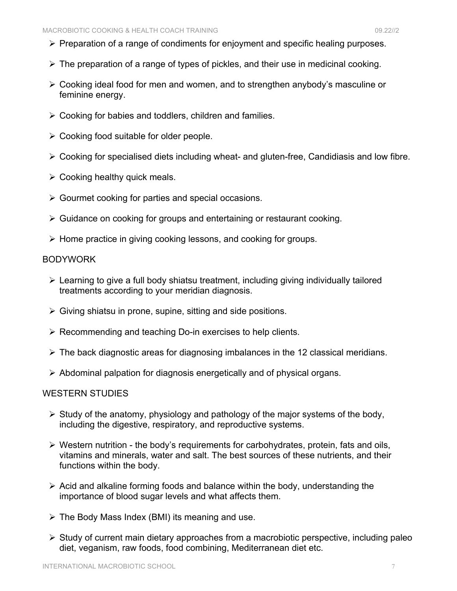- $\triangleright$  Preparation of a range of condiments for enjoyment and specific healing purposes.
- $\triangleright$  The preparation of a range of types of pickles, and their use in medicinal cooking.
- $\triangleright$  Cooking ideal food for men and women, and to strengthen anybody's masculine or feminine energy.
- $\triangleright$  Cooking for babies and toddlers, children and families.
- $\triangleright$  Cooking food suitable for older people.
- $\triangleright$  Cooking for specialised diets including wheat- and gluten-free, Candidiasis and low fibre.
- $\triangleright$  Cooking healthy quick meals.
- $\triangleright$  Gourmet cooking for parties and special occasions.
- $\triangleright$  Guidance on cooking for groups and entertaining or restaurant cooking.
- $\triangleright$  Home practice in giving cooking lessons, and cooking for groups.

#### BODYWORK

- $\triangleright$  Learning to give a full body shiatsu treatment, including giving individually tailored treatments according to your meridian diagnosis.
- $\triangleright$  Giving shiatsu in prone, supine, sitting and side positions.
- $\triangleright$  Recommending and teaching Do-in exercises to help clients.
- $\triangleright$  The back diagnostic areas for diagnosing imbalances in the 12 classical meridians.
- $\triangleright$  Abdominal palpation for diagnosis energetically and of physical organs.

#### WESTERN STUDIES

- $\triangleright$  Study of the anatomy, physiology and pathology of the major systems of the body, including the digestive, respiratory, and reproductive systems.
- $\triangleright$  Western nutrition the body's requirements for carbohydrates, protein, fats and oils, vitamins and minerals, water and salt. The best sources of these nutrients, and their functions within the body.
- $\triangleright$  Acid and alkaline forming foods and balance within the body, understanding the importance of blood sugar levels and what affects them.
- $\triangleright$  The Body Mass Index (BMI) its meaning and use.
- $\triangleright$  Study of current main dietary approaches from a macrobiotic perspective, including paleo diet, veganism, raw foods, food combining, Mediterranean diet etc.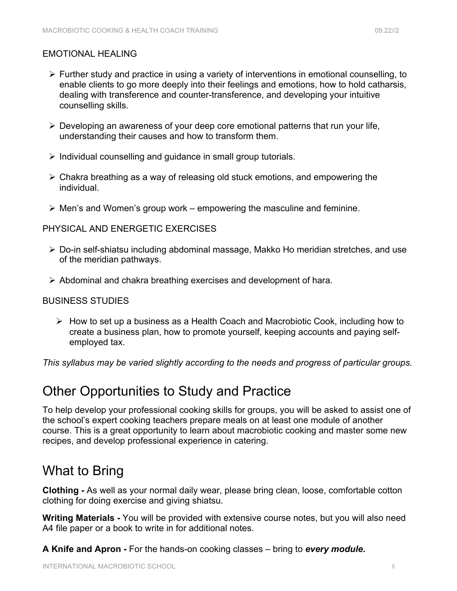- $\triangleright$  Further study and practice in using a variety of interventions in emotional counselling, to enable clients to go more deeply into their feelings and emotions, how to hold catharsis, dealing with transference and counter-transference, and developing your intuitive counselling skills.
- $\triangleright$  Developing an awareness of your deep core emotional patterns that run your life, understanding their causes and how to transform them.
- $\triangleright$  Individual counselling and guidance in small group tutorials.
- $\triangleright$  Chakra breathing as a way of releasing old stuck emotions, and empowering the individual.
- $\triangleright$  Men's and Women's group work empowering the masculine and feminine.

### PHYSICAL AND ENERGETIC EXERCISES

- $\triangleright$  Do-in self-shiatsu including abdominal massage, Makko Ho meridian stretches, and use of the meridian pathways.
- $\triangleright$  Abdominal and chakra breathing exercises and development of hara.

### BUSINESS STUDIES

 $\triangleright$  How to set up a business as a Health Coach and Macrobiotic Cook, including how to create a business plan, how to promote yourself, keeping accounts and paying selfemployed tax.

*This syllabus may be varied slightly according to the needs and progress of particular groups.*

### Other Opportunities to Study and Practice

To help develop your professional cooking skills for groups, you will be asked to assist one of the school's expert cooking teachers prepare meals on at least one module of another course. This is a great opportunity to learn about macrobiotic cooking and master some new recipes, and develop professional experience in catering.

### What to Bring

**Clothing -** As well as your normal daily wear, please bring clean, loose, comfortable cotton clothing for doing exercise and giving shiatsu.

**Writing Materials -** You will be provided with extensive course notes, but you will also need A4 file paper or a book to write in for additional notes.

**A Knife and Apron -** For the hands-on cooking classes – bring to *every module.*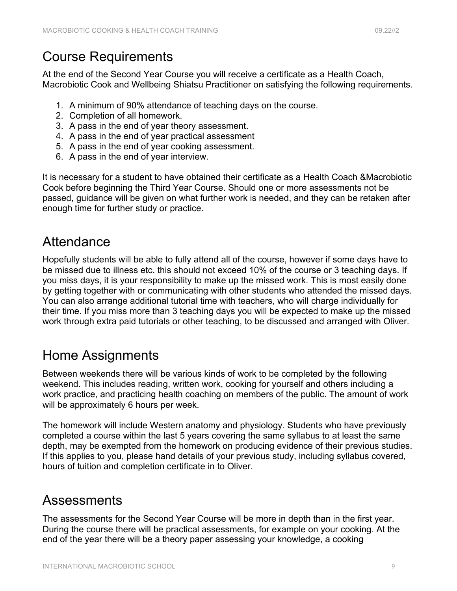### Course Requirements

At the end of the Second Year Course you will receive a certificate as a Health Coach, Macrobiotic Cook and Wellbeing Shiatsu Practitioner on satisfying the following requirements.

- 1. A minimum of 90% attendance of teaching days on the course.
- 2. Completion of all homework.
- 3. A pass in the end of year theory assessment.
- 4. A pass in the end of year practical assessment
- 5. A pass in the end of year cooking assessment.
- 6. A pass in the end of year interview.

It is necessary for a student to have obtained their certificate as a Health Coach &Macrobiotic Cook before beginning the Third Year Course. Should one or more assessments not be passed, guidance will be given on what further work is needed, and they can be retaken after enough time for further study or practice.

### **Attendance**

Hopefully students will be able to fully attend all of the course, however if some days have to be missed due to illness etc. this should not exceed 10% of the course or 3 teaching days. If you miss days, it is your responsibility to make up the missed work. This is most easily done by getting together with or communicating with other students who attended the missed days. You can also arrange additional tutorial time with teachers, who will charge individually for their time. If you miss more than 3 teaching days you will be expected to make up the missed work through extra paid tutorials or other teaching, to be discussed and arranged with Oliver.

### Home Assignments

Between weekends there will be various kinds of work to be completed by the following weekend. This includes reading, written work, cooking for yourself and others including a work practice, and practicing health coaching on members of the public. The amount of work will be approximately 6 hours per week.

The homework will include Western anatomy and physiology. Students who have previously completed a course within the last 5 years covering the same syllabus to at least the same depth, may be exempted from the homework on producing evidence of their previous studies. If this applies to you, please hand details of your previous study, including syllabus covered, hours of tuition and completion certificate in to Oliver.

### Assessments

The assessments for the Second Year Course will be more in depth than in the first year. During the course there will be practical assessments, for example on your cooking. At the end of the year there will be a theory paper assessing your knowledge, a cooking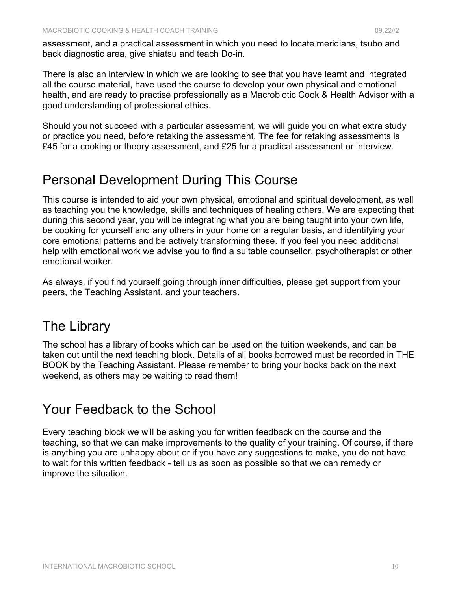assessment, and a practical assessment in which you need to locate meridians, tsubo and back diagnostic area, give shiatsu and teach Do-in.

There is also an interview in which we are looking to see that you have learnt and integrated all the course material, have used the course to develop your own physical and emotional health, and are ready to practise professionally as a Macrobiotic Cook & Health Advisor with a good understanding of professional ethics.

Should you not succeed with a particular assessment, we will guide you on what extra study or practice you need, before retaking the assessment. The fee for retaking assessments is £45 for a cooking or theory assessment, and £25 for a practical assessment or interview.

### Personal Development During This Course

This course is intended to aid your own physical, emotional and spiritual development, as well as teaching you the knowledge, skills and techniques of healing others. We are expecting that during this second year, you will be integrating what you are being taught into your own life, be cooking for yourself and any others in your home on a regular basis, and identifying your core emotional patterns and be actively transforming these. If you feel you need additional help with emotional work we advise you to find a suitable counsellor, psychotherapist or other emotional worker.

As always, if you find yourself going through inner difficulties, please get support from your peers, the Teaching Assistant, and your teachers.

### The Library

The school has a library of books which can be used on the tuition weekends, and can be taken out until the next teaching block. Details of all books borrowed must be recorded in THE BOOK by the Teaching Assistant. Please remember to bring your books back on the next weekend, as others may be waiting to read them!

### Your Feedback to the School

Every teaching block we will be asking you for written feedback on the course and the teaching, so that we can make improvements to the quality of your training. Of course, if there is anything you are unhappy about or if you have any suggestions to make, you do not have to wait for this written feedback - tell us as soon as possible so that we can remedy or improve the situation.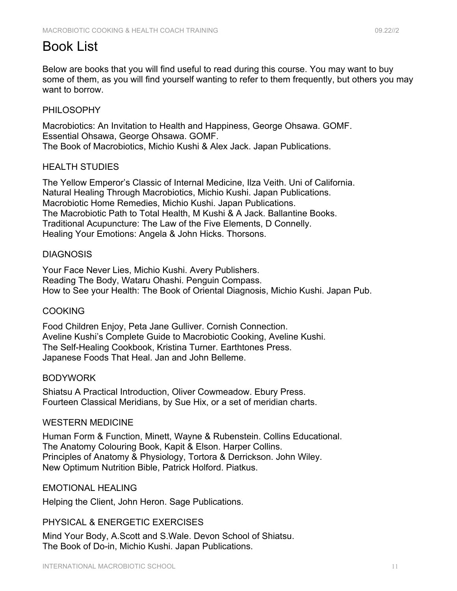### Book List

Below are books that you will find useful to read during this course. You may want to buy some of them, as you will find yourself wanting to refer to them frequently, but others you may want to borrow.

#### PHILOSOPHY

Macrobiotics: An Invitation to Health and Happiness, George Ohsawa. GOMF. Essential Ohsawa, George Ohsawa. GOMF. The Book of Macrobiotics, Michio Kushi & Alex Jack. Japan Publications.

#### HEALTH STUDIES

The Yellow Emperor's Classic of Internal Medicine, Ilza Veith. Uni of California. Natural Healing Through Macrobiotics, Michio Kushi. Japan Publications. Macrobiotic Home Remedies, Michio Kushi. Japan Publications. The Macrobiotic Path to Total Health, M Kushi & A Jack. Ballantine Books. Traditional Acupuncture: The Law of the Five Elements, D Connelly. Healing Your Emotions: Angela & John Hicks. Thorsons.

#### **DIAGNOSIS**

Your Face Never Lies, Michio Kushi. Avery Publishers. Reading The Body, Wataru Ohashi. Penguin Compass. How to See your Health: The Book of Oriental Diagnosis, Michio Kushi. Japan Pub.

#### COOKING

Food Children Enjoy, Peta Jane Gulliver. Cornish Connection. Aveline Kushi's Complete Guide to Macrobiotic Cooking, Aveline Kushi. The Self-Healing Cookbook, Kristina Turner. Earthtones Press. Japanese Foods That Heal. Jan and John Belleme.

#### BODYWORK

Shiatsu A Practical Introduction, Oliver Cowmeadow. Ebury Press. Fourteen Classical Meridians, by Sue Hix, or a set of meridian charts.

#### WESTERN MEDICINE

Human Form & Function, Minett, Wayne & Rubenstein. Collins Educational. The Anatomy Colouring Book, Kapit & Elson. Harper Collins. Principles of Anatomy & Physiology, Tortora & Derrickson. John Wiley. New Optimum Nutrition Bible, Patrick Holford. Piatkus.

#### EMOTIONAL HEALING

Helping the Client, John Heron. Sage Publications.

### PHYSICAL & ENERGETIC EXERCISES

Mind Your Body, A.Scott and S.Wale. Devon School of Shiatsu. The Book of Do-in, Michio Kushi. Japan Publications.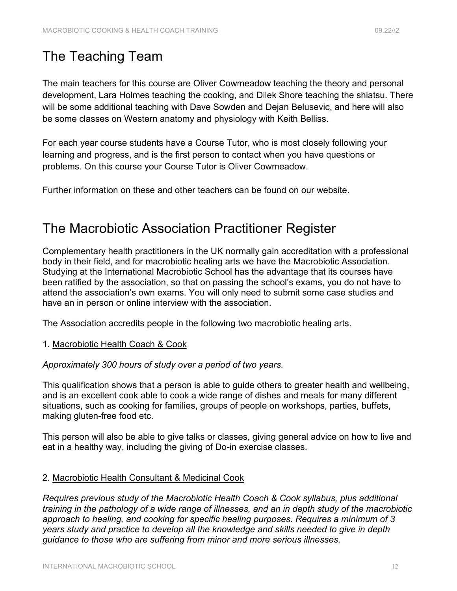### The Teaching Team

The main teachers for this course are Oliver Cowmeadow teaching the theory and personal development, Lara Holmes teaching the cooking, and Dilek Shore teaching the shiatsu. There will be some additional teaching with Dave Sowden and Dejan Belusevic, and here will also be some classes on Western anatomy and physiology with Keith Belliss.

For each year course students have a Course Tutor, who is most closely following your learning and progress, and is the first person to contact when you have questions or problems. On this course your Course Tutor is Oliver Cowmeadow.

Further information on these and other teachers can be found on our website.

### The Macrobiotic Association Practitioner Register

Complementary health practitioners in the UK normally gain accreditation with a professional body in their field, and for macrobiotic healing arts we have the Macrobiotic Association. Studying at the International Macrobiotic School has the advantage that its courses have been ratified by the association, so that on passing the school's exams, you do not have to attend the association's own exams. You will only need to submit some case studies and have an in person or online interview with the association.

The Association accredits people in the following two macrobiotic healing arts.

1. Macrobiotic Health Coach & Cook

*Approximately 300 hours of study over a period of two years.*

This qualification shows that a person is able to guide others to greater health and wellbeing, and is an excellent cook able to cook a wide range of dishes and meals for many different situations, such as cooking for families, groups of people on workshops, parties, buffets, making gluten-free food etc.

This person will also be able to give talks or classes, giving general advice on how to live and eat in a healthy way, including the giving of Do-in exercise classes.

#### 2. Macrobiotic Health Consultant & Medicinal Cook

*Requires previous study of the Macrobiotic Health Coach & Cook syllabus, plus additional training in the pathology of a wide range of illnesses, and an in depth study of the macrobiotic approach to healing, and cooking for specific healing purposes. Requires a minimum of 3 years study and practice to develop all the knowledge and skills needed to give in depth guidance to those who are suffering from minor and more serious illnesses.*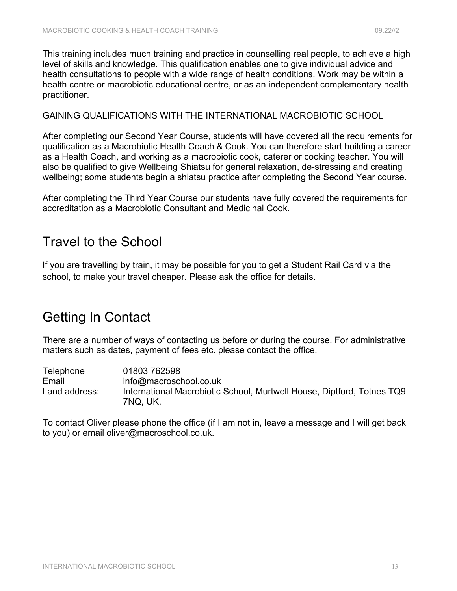This training includes much training and practice in counselling real people, to achieve a high level of skills and knowledge. This qualification enables one to give individual advice and health consultations to people with a wide range of health conditions. Work may be within a health centre or macrobiotic educational centre, or as an independent complementary health practitioner.

GAINING QUALIFICATIONS WITH THE INTERNATIONAL MACROBIOTIC SCHOOL

After completing our Second Year Course, students will have covered all the requirements for qualification as a Macrobiotic Health Coach & Cook. You can therefore start building a career as a Health Coach, and working as a macrobiotic cook, caterer or cooking teacher. You will also be qualified to give Wellbeing Shiatsu for general relaxation, de-stressing and creating wellbeing; some students begin a shiatsu practice after completing the Second Year course.

After completing the Third Year Course our students have fully covered the requirements for accreditation as a Macrobiotic Consultant and Medicinal Cook.

### Travel to the School

If you are travelling by train, it may be possible for you to get a Student Rail Card via the school, to make your travel cheaper. Please ask the office for details.

### Getting In Contact

There are a number of ways of contacting us before or during the course. For administrative matters such as dates, payment of fees etc. please contact the office.

Telephone 01803 762598 Email info@macroschool.co.uk Land address: International Macrobiotic School, Murtwell House, Diptford, Totnes TQ9 7NQ, UK.

To contact Oliver please phone the office (if I am not in, leave a message and I will get back to you) or email oliver@macroschool.co.uk.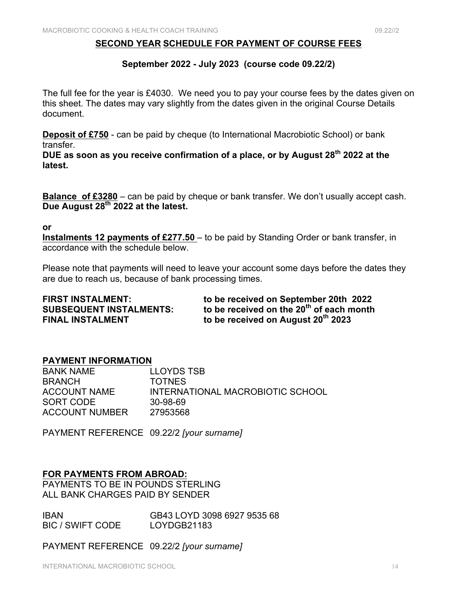#### **SECOND YEAR SCHEDULE FOR PAYMENT OF COURSE FEES**

#### **September 2022 - July 2023 (course code 09.22/2)**

The full fee for the year is £4030. We need you to pay your course fees by the dates given on this sheet. The dates may vary slightly from the dates given in the original Course Details document.

**Deposit of £750** - can be paid by cheque (to International Macrobiotic School) or bank transfer.

**DUE as soon as you receive confirmation of a place, or by August 28th 2022 at the latest.**

**Balance of £3280** – can be paid by cheque or bank transfer. We don't usually accept cash. **Due August 28th 2022 at the latest.**

#### **or**

**Instalments 12 payments of £277.50** – to be paid by Standing Order or bank transfer, in accordance with the schedule below.

Please note that payments will need to leave your account some days before the dates they are due to reach us, because of bank processing times.

| <b>FIRST INSTALMENT:</b>       | to be received on September 20th 2022                |
|--------------------------------|------------------------------------------------------|
| <b>SUBSEQUENT INSTALMENTS:</b> | to be received on the 20 <sup>th</sup> of each month |
| <b>FINAL INSTALMENT</b>        | to be received on August 20 <sup>th</sup> 2023       |

#### **PAYMENT INFORMATION**

BANK NAME LLOYDS TSB BRANCH TOTNES ACCOUNT NAME INTERNATIONAL MACROBIOTIC SCHOOL SORT CODE 30-98-69 ACCOUNT NUMBER 27953568

PAYMENT REFERENCE 09.22/2 *[your surname]*

#### **FOR PAYMENTS FROM ABROAD:**

PAYMENTS TO BE IN POUNDS STERLING ALL BANK CHARGES PAID BY SENDER

IBAN GB43 LOYD 3098 6927 9535 68 BIC / SWIFT CODE LOYDGB21183

PAYMENT REFERENCE 09.22/2 *[your surname]*